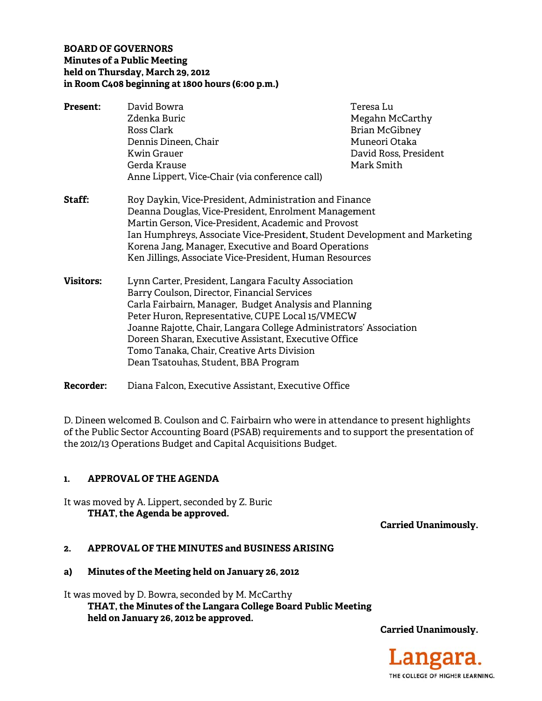## **BOARD OF GOVERNORS Minutes of a Public Meeting** held on Thursday, March 29, 2012 in Room C408 beginning at 1800 hours (6:00 p.m.)

| <b>Present:</b>  | David Bowra                                                                                                                                                                                                                                                                                                                                                                                                                          | Teresa Lu             |
|------------------|--------------------------------------------------------------------------------------------------------------------------------------------------------------------------------------------------------------------------------------------------------------------------------------------------------------------------------------------------------------------------------------------------------------------------------------|-----------------------|
|                  | Zdenka Buric                                                                                                                                                                                                                                                                                                                                                                                                                         | Megahn McCarthy       |
|                  | Ross Clark                                                                                                                                                                                                                                                                                                                                                                                                                           | <b>Brian McGibney</b> |
|                  | Dennis Dineen, Chair                                                                                                                                                                                                                                                                                                                                                                                                                 | Muneori Otaka         |
|                  | Kwin Grauer                                                                                                                                                                                                                                                                                                                                                                                                                          | David Ross, President |
|                  | Gerda Krause                                                                                                                                                                                                                                                                                                                                                                                                                         | Mark Smith            |
|                  | Anne Lippert, Vice-Chair (via conference call)                                                                                                                                                                                                                                                                                                                                                                                       |                       |
| Staff:           | Roy Daykin, Vice-President, Administration and Finance<br>Deanna Douglas, Vice-President, Enrolment Management<br>Martin Gerson, Vice-President, Academic and Provost<br>Ian Humphreys, Associate Vice-President, Student Development and Marketing<br>Korena Jang, Manager, Executive and Board Operations<br>Ken Jillings, Associate Vice-President, Human Resources                                                               |                       |
| <b>Visitors:</b> | Lynn Carter, President, Langara Faculty Association<br>Barry Coulson, Director, Financial Services<br>Carla Fairbairn, Manager, Budget Analysis and Planning<br>Peter Huron, Representative, CUPE Local 15/VMECW<br>Joanne Rajotte, Chair, Langara College Administrators' Association<br>Doreen Sharan, Executive Assistant, Executive Office<br>Tomo Tanaka, Chair, Creative Arts Division<br>Dean Tsatouhas, Student, BBA Program |                       |

**Recorder:** Diana Falcon, Executive Assistant, Executive Office

D. Dineen welcomed B. Coulson and C. Fairbairn who were in attendance to present highlights of the Public Sector Accounting Board (PSAB) requirements and to support the presentation of the 2012/13 Operations Budget and Capital Acquisitions Budget.

#### **APPROVAL OF THE AGENDA** 1.

It was moved by A. Lippert, seconded by Z. Buric THAT, the Agenda be approved.

**Carried Unanimously.** 

#### APPROVAL OF THE MINUTES and BUSINESS ARISING  $2.$

#### Minutes of the Meeting held on January 26, 2012 a)

It was moved by D. Bowra, seconded by M. McCarthy THAT, the Minutes of the Langara College Board Public Meeting held on January 26, 2012 be approved.

**Carried Unanimously.** 

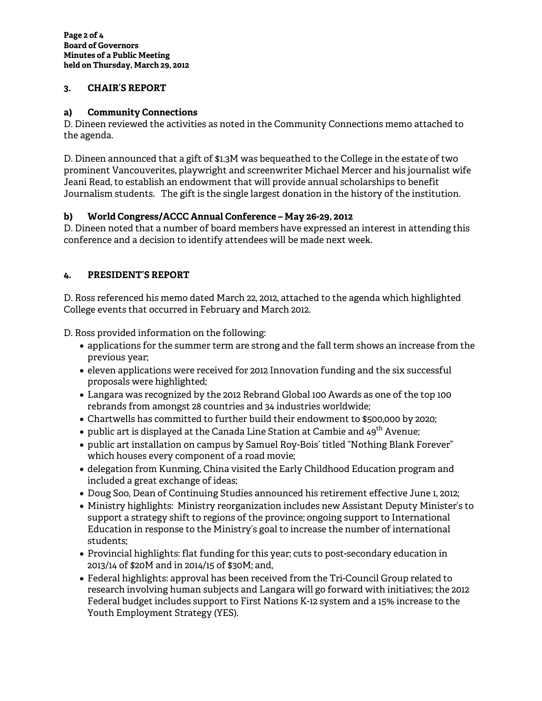#### **3. CHAIR'S REPORT**

#### **a) Community Connections**

D. Dineen reviewed the activities as noted in the Community Connections memo attached to the agenda.

D. Dineen announced that a gift of \$1.3M was bequeathed to the College in the estate of two prominent Vancouverites, playwright and screenwriter Michael Mercer and his journalist wife Jeani Read, to establish an endowment that will provide annual scholarships to benefit Journalism students. The gift is the single largest donation in the history of the institution.

# **b) World Congress/ACCC Annual Conference – May 26-29, 2012**

D. Dineen noted that a number of board members have expressed an interest in attending this conference and a decision to identify attendees will be made next week.

# **4. PRESIDENT'S REPORT**

D. Ross referenced his memo dated March 22, 2012, attached to the agenda which highlighted College events that occurred in February and March 2012.

D. Ross provided information on the following:

- applications for the summer term are strong and the fall term shows an increase from the previous year;
- eleven applications were received for 2012 Innovation funding and the six successful proposals were highlighted;
- Langara was recognized by the 2012 Rebrand Global 100 Awards as one of the top 100 rebrands from amongst 28 countries and 34 industries worldwide;
- Chartwells has committed to further build their endowment to \$500,000 by 2020;
- public art is displayed at the Canada Line Station at Cambie and  $49^{th}$  Avenue;
- public art installation on campus by Samuel Roy-Bois' titled "Nothing Blank Forever" which houses every component of a road movie;
- delegation from Kunming, China visited the Early Childhood Education program and included a great exchange of ideas;
- Doug Soo, Dean of Continuing Studies announced his retirement effective June 1, 2012;
- Ministry highlights: Ministry reorganization includes new Assistant Deputy Minister's to support a strategy shift to regions of the province; ongoing support to International Education in response to the Ministry's goal to increase the number of international students;
- Provincial highlights: flat funding for this year; cuts to post-secondary education in 2013/14 of \$20M and in 2014/15 of \$30M; and,
- Federal highlights: approval has been received from the Tri-Council Group related to research involving human subjects and Langara will go forward with initiatives; the 2012 Federal budget includes support to First Nations K-12 system and a 15% increase to the Youth Employment Strategy (YES).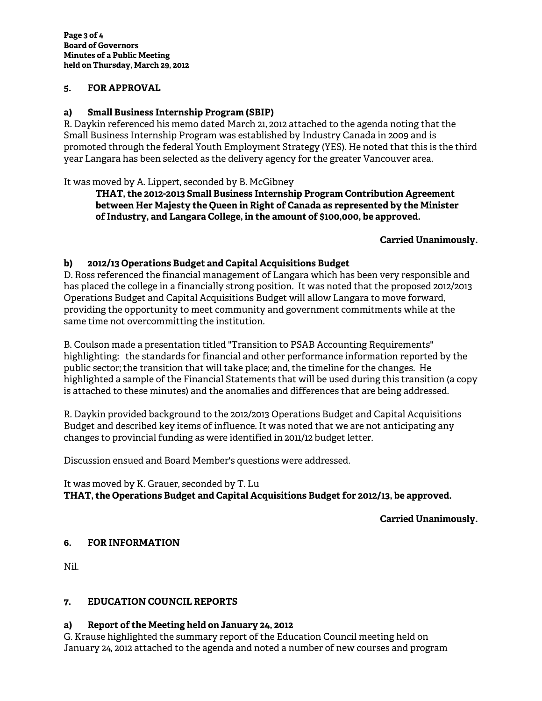## **5. FOR APPROVAL**

## **a) Small Business Internship Program (SBIP)**

R. Daykin referenced his memo dated March 21, 2012 attached to the agenda noting that the Small Business Internship Program was established by Industry Canada in 2009 and is promoted through the federal Youth Employment Strategy (YES). He noted that this is the third year Langara has been selected as the delivery agency for the greater Vancouver area.

## It was moved by A. Lippert, seconded by B. McGibney

**THAT, the 2012-2013 Small Business Internship Program Contribution Agreement between Her Majesty the Queen in Right of Canada as represented by the Minister of Industry, and Langara College, in the amount of \$100,000, be approved.** 

#### **Carried Unanimously.**

## **b) 2012/13 Operations Budget and Capital Acquisitions Budget**

D. Ross referenced the financial management of Langara which has been very responsible and has placed the college in a financially strong position. It was noted that the proposed 2012/2013 Operations Budget and Capital Acquisitions Budget will allow Langara to move forward, providing the opportunity to meet community and government commitments while at the same time not overcommitting the institution.

B. Coulson made a presentation titled "Transition to PSAB Accounting Requirements" highlighting: the standards for financial and other performance information reported by the public sector; the transition that will take place; and, the timeline for the changes. He highlighted a sample of the Financial Statements that will be used during this transition (a copy is attached to these minutes) and the anomalies and differences that are being addressed.

R. Daykin provided background to the 2012/2013 Operations Budget and Capital Acquisitions Budget and described key items of influence. It was noted that we are not anticipating any changes to provincial funding as were identified in 2011/12 budget letter.

Discussion ensued and Board Member's questions were addressed.

## It was moved by K. Grauer, seconded by T. Lu **THAT, the Operations Budget and Capital Acquisitions Budget for 2012/13, be approved.**

# **Carried Unanimously.**

# **6. FOR INFORMATION**

Nil.

# **7. EDUCATION COUNCIL REPORTS**

# **a) Report of the Meeting held on January 24, 2012**

G. Krause highlighted the summary report of the Education Council meeting held on January 24, 2012 attached to the agenda and noted a number of new courses and program